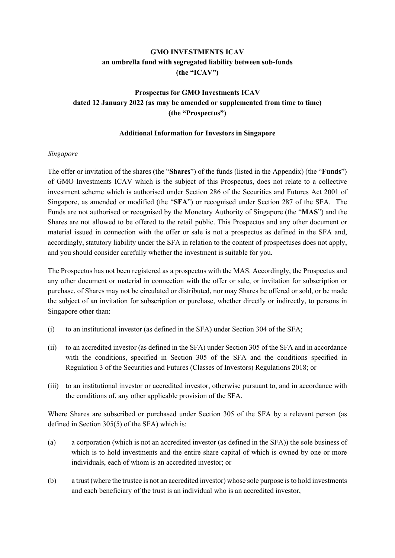# **GMO INVESTMENTS ICAV an umbrella fund with segregated liability between sub-funds (the "ICAV")**

# **Prospectus for GMO Investments ICAV dated 12 January 2022 (as may be amended or supplemented from time to time) (the "Prospectus")**

### **Additional Information for Investors in Singapore**

### *Singapore*

The offer or invitation of the shares (the "**Shares**") of the funds (listed in the Appendix) (the "**Funds**") of GMO Investments ICAV which is the subject of this Prospectus, does not relate to a collective investment scheme which is authorised under Section 286 of the Securities and Futures Act 2001 of Singapore, as amended or modified (the "**SFA**") or recognised under Section 287 of the SFA. The Funds are not authorised or recognised by the Monetary Authority of Singapore (the "**MAS**") and the Shares are not allowed to be offered to the retail public. This Prospectus and any other document or material issued in connection with the offer or sale is not a prospectus as defined in the SFA and, accordingly, statutory liability under the SFA in relation to the content of prospectuses does not apply, and you should consider carefully whether the investment is suitable for you.

The Prospectus has not been registered as a prospectus with the MAS. Accordingly, the Prospectus and any other document or material in connection with the offer or sale, or invitation for subscription or purchase, of Shares may not be circulated or distributed, nor may Shares be offered or sold, or be made the subject of an invitation for subscription or purchase, whether directly or indirectly, to persons in Singapore other than:

- (i) to an institutional investor (as defined in the SFA) under Section 304 of the SFA;
- (ii) to an accredited investor (as defined in the SFA) under Section 305 of the SFA and in accordance with the conditions, specified in Section 305 of the SFA and the conditions specified in Regulation 3 of the Securities and Futures (Classes of Investors) Regulations 2018; or
- (iii) to an institutional investor or accredited investor, otherwise pursuant to, and in accordance with the conditions of, any other applicable provision of the SFA.

Where Shares are subscribed or purchased under Section 305 of the SFA by a relevant person (as defined in Section 305(5) of the SFA) which is:

- (a) a corporation (which is not an accredited investor (as defined in the SFA)) the sole business of which is to hold investments and the entire share capital of which is owned by one or more individuals, each of whom is an accredited investor; or
- (b) a trust (where the trustee is not an accredited investor) whose sole purpose is to hold investments and each beneficiary of the trust is an individual who is an accredited investor,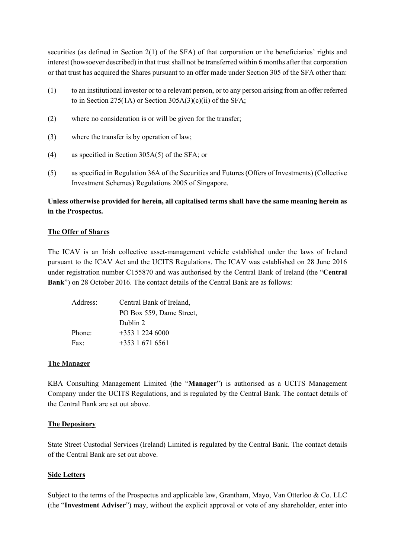securities (as defined in Section 2(1) of the SFA) of that corporation or the beneficiaries' rights and interest (howsoever described) in that trust shall not be transferred within 6 months after that corporation or that trust has acquired the Shares pursuant to an offer made under Section 305 of the SFA other than:

- (1) to an institutional investor or to a relevant person, or to any person arising from an offer referred to in Section 275(1A) or Section  $305A(3)(c)(ii)$  of the SFA;
- (2) where no consideration is or will be given for the transfer;
- (3) where the transfer is by operation of law;
- (4) as specified in Section 305A(5) of the SFA; or
- (5) as specified in Regulation 36A of the Securities and Futures (Offers of Investments) (Collective Investment Schemes) Regulations 2005 of Singapore.

## **Unless otherwise provided for herein, all capitalised terms shall have the same meaning herein as in the Prospectus.**

#### **The Offer of Shares**

The ICAV is an Irish collective asset-management vehicle established under the laws of Ireland pursuant to the ICAV Act and the UCITS Regulations. The ICAV was established on 28 June 2016 under registration number C155870 and was authorised by the Central Bank of Ireland (the "**Central Bank**") on 28 October 2016. The contact details of the Central Bank are as follows:

| Address:      | Central Bank of Ireland, |
|---------------|--------------------------|
|               | PO Box 559, Dame Street, |
|               | Dublin 2                 |
| Phone:        | $+353$ 1 224 6000        |
| $\text{Fax:}$ | $+353$ 1 671 6561        |

#### **The Manager**

KBA Consulting Management Limited (the "**Manager**") is authorised as a UCITS Management Company under the UCITS Regulations, and is regulated by the Central Bank. The contact details of the Central Bank are set out above.

#### **The Depository**

State Street Custodial Services (Ireland) Limited is regulated by the Central Bank. The contact details of the Central Bank are set out above.

#### **Side Letters**

Subject to the terms of the Prospectus and applicable law, Grantham, Mayo, Van Otterloo & Co. LLC (the "**Investment Adviser**") may, without the explicit approval or vote of any shareholder, enter into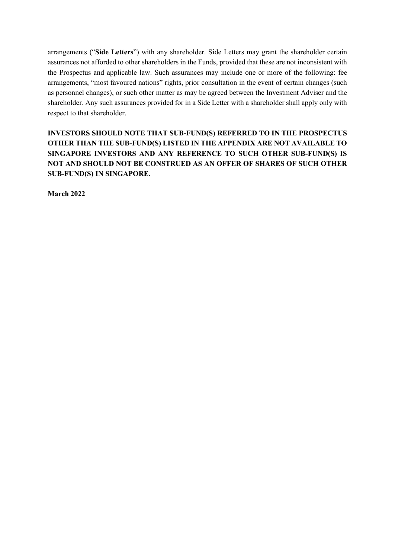arrangements ("**Side Letters**") with any shareholder. Side Letters may grant the shareholder certain assurances not afforded to other shareholders in the Funds, provided that these are not inconsistent with the Prospectus and applicable law. Such assurances may include one or more of the following: fee arrangements, "most favoured nations" rights, prior consultation in the event of certain changes (such as personnel changes), or such other matter as may be agreed between the Investment Adviser and the shareholder. Any such assurances provided for in a Side Letter with a shareholder shall apply only with respect to that shareholder.

**INVESTORS SHOULD NOTE THAT SUB-FUND(S) REFERRED TO IN THE PROSPECTUS OTHER THAN THE SUB-FUND(S) LISTED IN THE APPENDIX ARE NOT AVAILABLE TO SINGAPORE INVESTORS AND ANY REFERENCE TO SUCH OTHER SUB-FUND(S) IS NOT AND SHOULD NOT BE CONSTRUED AS AN OFFER OF SHARES OF SUCH OTHER SUB-FUND(S) IN SINGAPORE.**

**March 2022**